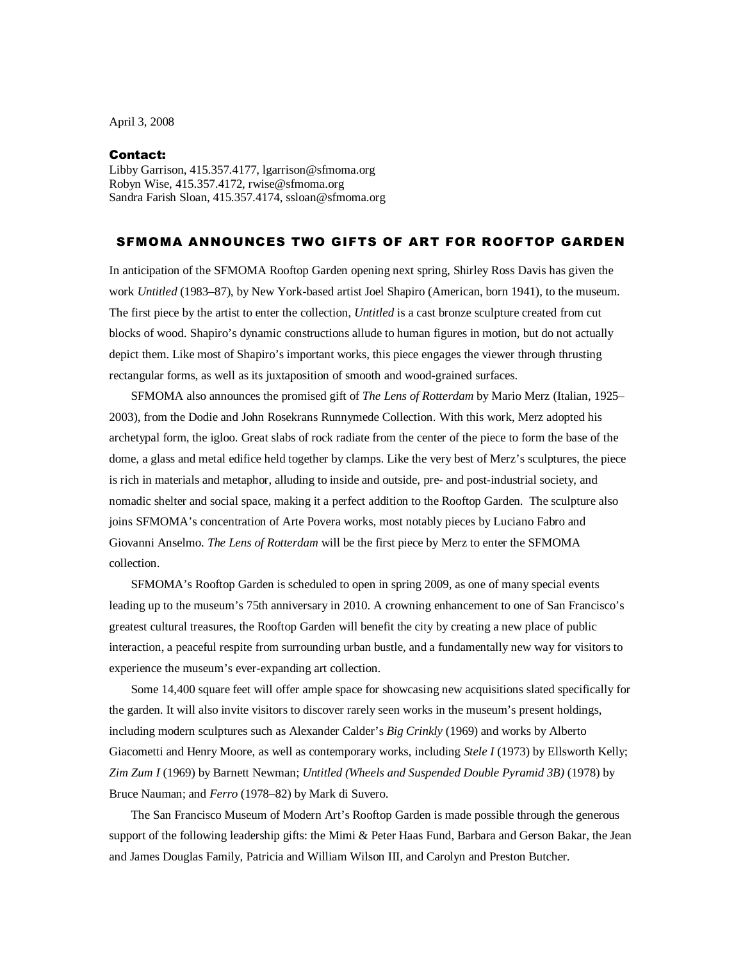April 3, 2008

## Contact:

Libby Garrison, 415.357.4177, lgarrison@sfmoma.org Robyn Wise, 415.357.4172, rwise@sfmoma.org Sandra Farish Sloan, 415.357.4174, ssloan@sfmoma.org

## SFMOMA ANNOUNCES TWO GIFTS OF ART FOR ROOFTOP GARDEN

In anticipation of the SFMOMA Rooftop Garden opening next spring, Shirley Ross Davis has given the work *Untitled* (1983–87), by New York-based artist Joel Shapiro (American, born 1941), to the museum. The first piece by the artist to enter the collection, *Untitled* is a cast bronze sculpture created from cut blocks of wood. Shapiro's dynamic constructions allude to human figures in motion, but do not actually depict them. Like most of Shapiro's important works, this piece engages the viewer through thrusting rectangular forms, as well as its juxtaposition of smooth and wood-grained surfaces.

 SFMOMA also announces the promised gift of *The Lens of Rotterdam* by Mario Merz (Italian, 1925– 2003), from the Dodie and John Rosekrans Runnymede Collection. With this work, Merz adopted his archetypal form, the igloo. Great slabs of rock radiate from the center of the piece to form the base of the dome, a glass and metal edifice held together by clamps. Like the very best of Merz's sculptures, the piece is rich in materials and metaphor, alluding to inside and outside, pre- and post-industrial society, and nomadic shelter and social space, making it a perfect addition to the Rooftop Garden. The sculpture also joins SFMOMA's concentration of Arte Povera works, most notably pieces by Luciano Fabro and Giovanni Anselmo. *The Lens of Rotterdam* will be the first piece by Merz to enter the SFMOMA collection.

SFMOMA's Rooftop Garden is scheduled to open in spring 2009, as one of many special events leading up to the museum's 75th anniversary in 2010. A crowning enhancement to one of San Francisco's greatest cultural treasures, the Rooftop Garden will benefit the city by creating a new place of public interaction, a peaceful respite from surrounding urban bustle, and a fundamentally new way for visitors to experience the museum's ever-expanding art collection.

 Some 14,400 square feet will offer ample space for showcasing new acquisitions slated specifically for the garden. It will also invite visitors to discover rarely seen works in the museum's present holdings, including modern sculptures such as Alexander Calder's *Big Crinkly* (1969) and works by Alberto Giacometti and Henry Moore, as well as contemporary works, including *Stele I* (1973) by Ellsworth Kelly; *Zim Zum I* (1969) by Barnett Newman; *Untitled (Wheels and Suspended Double Pyramid 3B)* (1978) by Bruce Nauman; and *Ferro* (1978–82) by Mark di Suvero.

The San Francisco Museum of Modern Art's Rooftop Garden is made possible through the generous support of the following leadership gifts: the Mimi & Peter Haas Fund, Barbara and Gerson Bakar, the Jean and James Douglas Family, Patricia and William Wilson III, and Carolyn and Preston Butcher.